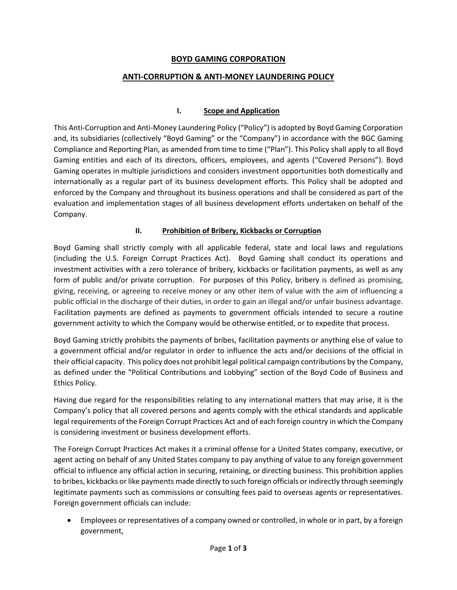## **BOYD GAMING CORPORATION**

## **ANTI-CORRUPTION & ANTI-MONEY LAUNDERING POLICY**

## **I. Scope and Application**

This Anti-Corruption and Anti-Money Laundering Policy ("Policy") is adopted by Boyd Gaming Corporation and, its subsidiaries (collectively "Boyd Gaming" or the "Company") in accordance with the BGC Gaming Compliance and Reporting Plan, as amended from time to time ("Plan"). This Policy shall apply to all Boyd Gaming entities and each of its directors, officers, employees, and agents ("Covered Persons"). Boyd Gaming operates in multiple jurisdictions and considers investment opportunities both domestically and internationally as a regular part of its business development efforts. This Policy shall be adopted and enforced by the Company and throughout its business operations and shall be considered as part of the evaluation and implementation stages of all business development efforts undertaken on behalf of the Company.

#### **II. Prohibition of Bribery, Kickbacks or Corruption**

Boyd Gaming shall strictly comply with all applicable federal, state and local laws and regulations (including the U.S. Foreign Corrupt Practices Act). Boyd Gaming shall conduct its operations and investment activities with a zero tolerance of bribery, kickbacks or facilitation payments, as well as any form of public and/or private corruption. For purposes of this Policy, bribery is defined as promising, giving, receiving, or agreeing to receive money or any other item of value with the aim of influencing a public official in the discharge of their duties, in order to gain an illegal and/or unfair business advantage. Facilitation payments are defined as payments to government officials intended to secure a routine government activity to which the Company would be otherwise entitled, or to expedite that process.

Boyd Gaming strictly prohibits the payments of bribes, facilitation payments or anything else of value to a government official and/or regulator in order to influence the acts and/or decisions of the official in their official capacity. This policy does not prohibit legal political campaign contributions by the Company, as defined under the "Political Contributions and Lobbying" section of the Boyd Code of Business and Ethics Policy.

Having due regard for the responsibilities relating to any international matters that may arise, it is the Company's policy that all covered persons and agents comply with the ethical standards and applicable legal requirements of the Foreign Corrupt Practices Act and of each foreign country in which the Company is considering investment or business development efforts.

The Foreign Corrupt Practices Act makes it a criminal offense for a United States company, executive, or agent acting on behalf of any United States company to pay anything of value to any foreign government official to influence any official action in securing, retaining, or directing business. This prohibition applies to bribes, kickbacks or like payments made directly to such foreign officials or indirectly through seemingly legitimate payments such as commissions or consulting fees paid to overseas agents or representatives. Foreign government officials can include:

• Employees or representatives of a company owned or controlled, in whole or in part, by a foreign government,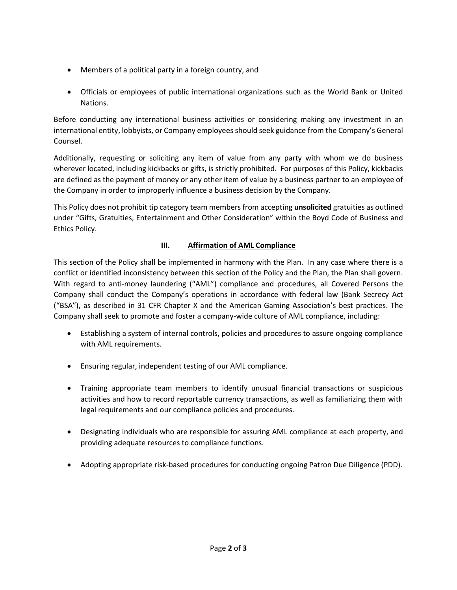- Members of a political party in a foreign country, and
- Officials or employees of public international organizations such as the World Bank or United Nations.

Before conducting any international business activities or considering making any investment in an international entity, lobbyists, or Company employees should seek guidance from the Company's General Counsel.

Additionally, requesting or soliciting any item of value from any party with whom we do business wherever located, including kickbacks or gifts, is strictly prohibited. For purposes of this Policy, kickbacks are defined as the payment of money or any other item of value by a business partner to an employee of the Company in order to improperly influence a business decision by the Company.

This Policy does not prohibit tip category team members from accepting **unsolicited** gratuities as outlined under "Gifts, Gratuities, Entertainment and Other Consideration" within the Boyd Code of Business and Ethics Policy.

# **III. Affirmation of AML Compliance**

This section of the Policy shall be implemented in harmony with the Plan. In any case where there is a conflict or identified inconsistency between this section of the Policy and the Plan, the Plan shall govern. With regard to anti-money laundering ("AML") compliance and procedures, all Covered Persons the Company shall conduct the Company's operations in accordance with federal law (Bank Secrecy Act ("BSA"), as described in 31 CFR Chapter X and the American Gaming Association's best practices. The Company shall seek to promote and foster a company-wide culture of AML compliance, including:

- Establishing a system of internal controls, policies and procedures to assure ongoing compliance with AML requirements.
- Ensuring regular, independent testing of our AML compliance.
- Training appropriate team members to identify unusual financial transactions or suspicious activities and how to record reportable currency transactions, as well as familiarizing them with legal requirements and our compliance policies and procedures.
- Designating individuals who are responsible for assuring AML compliance at each property, and providing adequate resources to compliance functions.
- Adopting appropriate risk-based procedures for conducting ongoing Patron Due Diligence (PDD).